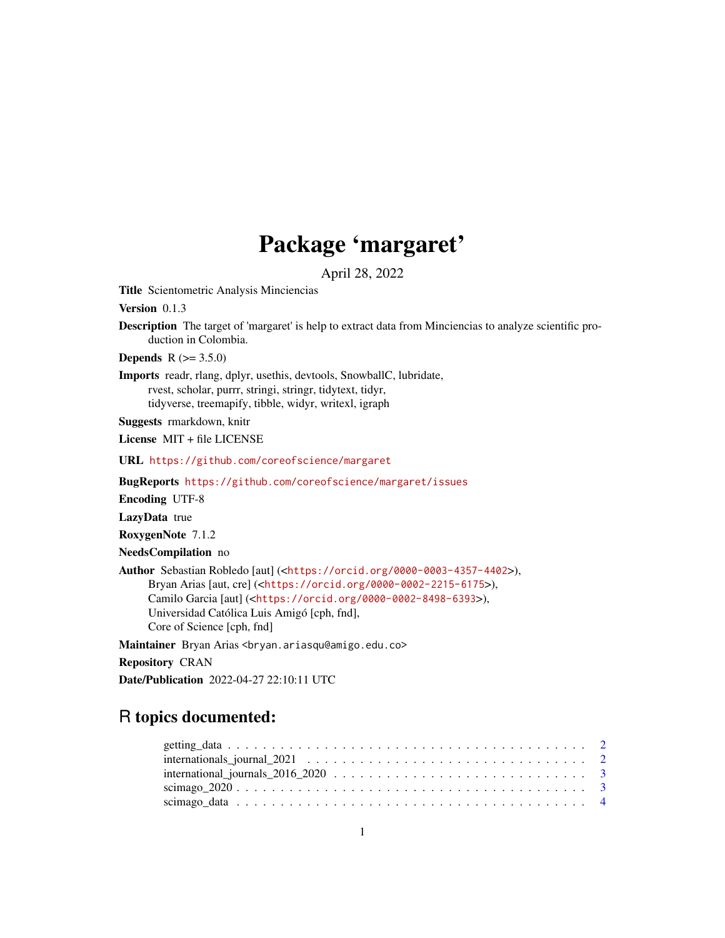## Package 'margaret'

April 28, 2022

Title Scientometric Analysis Minciencias

Version 0.1.3

Description The target of 'margaret' is help to extract data from Minciencias to analyze scientific production in Colombia.

**Depends** R  $(>= 3.5.0)$ 

Imports readr, rlang, dplyr, usethis, devtools, SnowballC, lubridate, rvest, scholar, purrr, stringi, stringr, tidytext, tidyr, tidyverse, treemapify, tibble, widyr, writexl, igraph

Suggests rmarkdown, knitr

License MIT + file LICENSE

URL <https://github.com/coreofscience/margaret>

BugReports <https://github.com/coreofscience/margaret/issues>

Encoding UTF-8

LazyData true

RoxygenNote 7.1.2

NeedsCompilation no

Author Sebastian Robledo [aut] (<<https://orcid.org/0000-0003-4357-4402>>), Bryan Arias [aut, cre] (<<https://orcid.org/0000-0002-2215-6175>>), Camilo Garcia [aut] (<<https://orcid.org/0000-0002-8498-6393>>), Universidad Católica Luis Amigó [cph, fnd], Core of Science [cph, fnd]

Maintainer Bryan Arias <bryan.ariasqu@amigo.edu.co>

Repository CRAN

Date/Publication 2022-04-27 22:10:11 UTC

### R topics documented: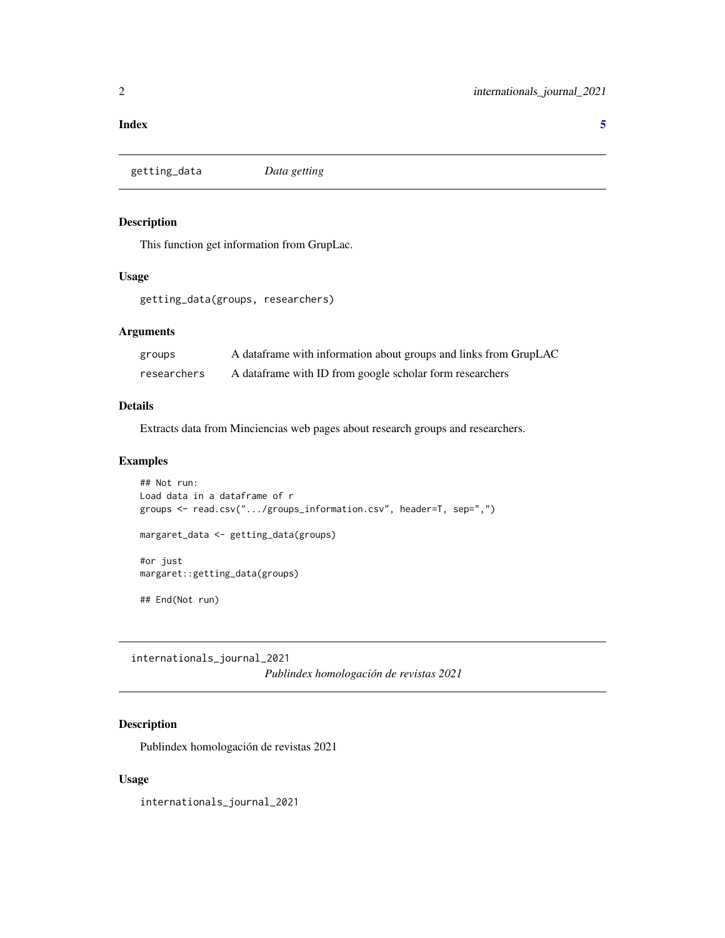#### <span id="page-1-0"></span>**Index** [5](#page-4-0). The second state of the second state of the second state of the second state of the second state of the second state of the second state of the second state of the second state of the second state of the second

getting\_data *Data getting*

#### Description

This function get information from GrupLac.

#### Usage

getting\_data(groups, researchers)

#### Arguments

| groups      | A dataframe with information about groups and links from GrupLAC |
|-------------|------------------------------------------------------------------|
| researchers | A data frame with ID from google scholar form researchers        |

#### Details

Extracts data from Minciencias web pages about research groups and researchers.

#### Examples

```
## Not run:
Load data in a dataframe of r
groups <- read.csv(".../groups_information.csv", header=T, sep=",")
margaret_data <- getting_data(groups)
#or just
margaret::getting_data(groups)
## End(Not run)
```
internationals\_journal\_2021 *Publindex homologación de revistas 2021*

#### Description

Publindex homologación de revistas 2021

#### Usage

internationals\_journal\_2021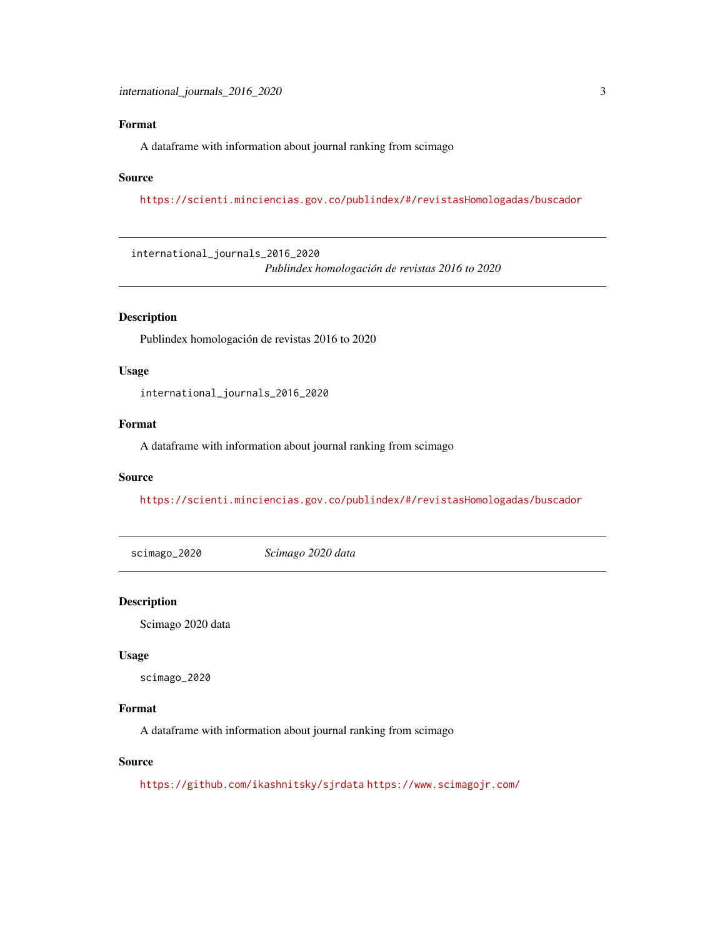#### <span id="page-2-0"></span>Format

A dataframe with information about journal ranking from scimago

#### Source

<https://scienti.minciencias.gov.co/publindex/#/revistasHomologadas/buscador>

international\_journals\_2016\_2020 *Publindex homologación de revistas 2016 to 2020*

#### Description

Publindex homologación de revistas 2016 to 2020

#### Usage

international\_journals\_2016\_2020

#### Format

A dataframe with information about journal ranking from scimago

#### Source

<https://scienti.minciencias.gov.co/publindex/#/revistasHomologadas/buscador>

scimago\_2020 *Scimago 2020 data*

#### Description

Scimago 2020 data

#### Usage

scimago\_2020

#### Format

A dataframe with information about journal ranking from scimago

#### Source

<https://github.com/ikashnitsky/sjrdata> <https://www.scimagojr.com/>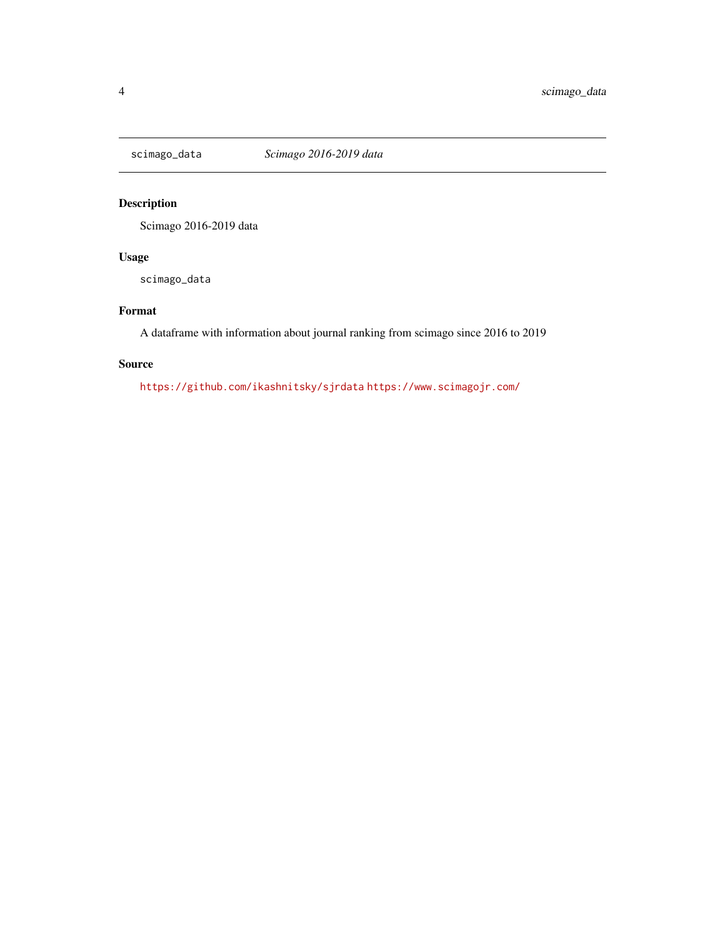<span id="page-3-0"></span>

#### Description

Scimago 2016-2019 data

#### Usage

scimago\_data

#### Format

A dataframe with information about journal ranking from scimago since 2016 to 2019

#### Source

<https://github.com/ikashnitsky/sjrdata> <https://www.scimagojr.com/>